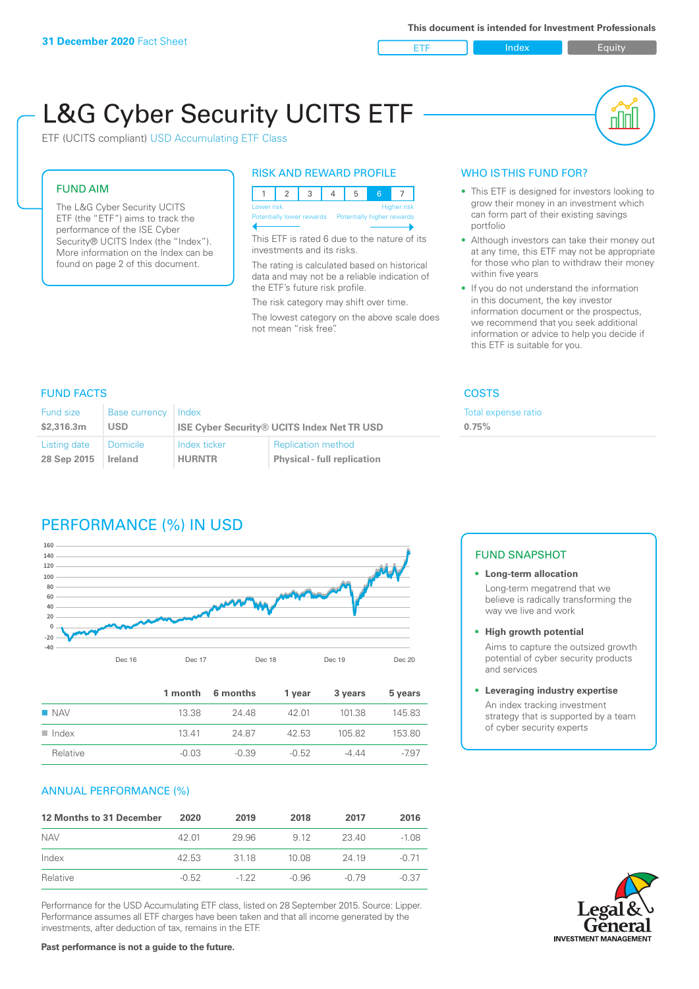ETF Index Buity

пIП

# L&G Cyber Security UCITS ETF

ETF (UCITS compliant) USD Accumulating ETF Class

#### FUND AIM

The L&G Cyber Security UCITS ETF (the "ETF") aims to track the performance of the ISE Cyber Security® UCITS Index (the "Index"). More information on the Index can be found on page 2 of this document.

#### RISK AND REWARD PROFILE

| Lower risk |  |  |                                                      |  | Higher risk |  |  |
|------------|--|--|------------------------------------------------------|--|-------------|--|--|
|            |  |  | Potentially lower rewards Potentially higher rewards |  |             |  |  |
|            |  |  |                                                      |  |             |  |  |

This ETF is rated 6 due to the nature of its investments and its risks.

The rating is calculated based on historical data and may not be a reliable indication of the ETF's future risk profile.

The risk category may shift over time. The lowest category on the above scale does not mean "risk free".

#### WHO IS THIS FUND FOR?

- This ETF is designed for investors looking to grow their money in an investment which can form part of their existing savings portfolio
- Although investors can take their money out at any time, this ETF may not be appropriate for those who plan to withdraw their money within five years
- If you do not understand the information in this document, the key investor information document or the prospectus, we recommend that you seek additional information or advice to help you decide if this ETF is suitable for you.

**0.75%**

Total expense ratio

#### FUND FACTS COSTS

| Fund size<br>\$2,316.3m | <b>Base currency</b><br><b>USD</b> | Index         | <b>ISE Cyber Security® UCITS Index Net TR USD</b> |
|-------------------------|------------------------------------|---------------|---------------------------------------------------|
| Listing date            | Domicile                           | Index ticker  | <b>Replication method</b>                         |
| 28 Sep 2015             | Ireland                            | <b>HURNTR</b> | <b>Physical - full replication</b>                |

# PERFORMANCE (%) IN USD



|                      |         | 1 month 6 months | 1 vear  | 3 years | 5 years |
|----------------------|---------|------------------|---------|---------|---------|
| $\blacksquare$ NAV   | 13.38   | 24 48            | 42.01   | 101.38  | 145.83  |
| $\blacksquare$ Index | 1341    | 24.87            | 42.53   | 105.82  | 153.80  |
| Relative             | $-0.03$ | $-0.39$          | $-0.52$ | $-444$  | -797    |

#### ANNUAL PERFORMANCE (%)

| 12 Months to 31 December | 2020    | 2019   | 2018  | 2017  | 2016    |
|--------------------------|---------|--------|-------|-------|---------|
| <b>NAV</b>               | 42.01   | 29.96  | 9.12  | 23.40 | $-1.08$ |
| Index                    | 42.53   | 3118   | 10.08 | 24 19 | $-0.71$ |
| Relative                 | $-0.52$ | $-122$ | -0.96 | -0.79 | $-0.37$ |

Performance for the USD Accumulating ETF class, listed on 28 September 2015. Source: Lipper. Performance assumes all ETF charges have been taken and that all income generated by the investments, after deduction of tax, remains in the ETF.

#### FUND SNAPSHOT

#### **• Long-term allocation** Long-term megatrend that we believe is radically transforming the way we live and work

**• High growth potential**

Aims to capture the outsized growth potential of cyber security products and services

#### **• Leveraging industry expertise**

An index tracking investment strategy that is supported by a team of cyber security experts

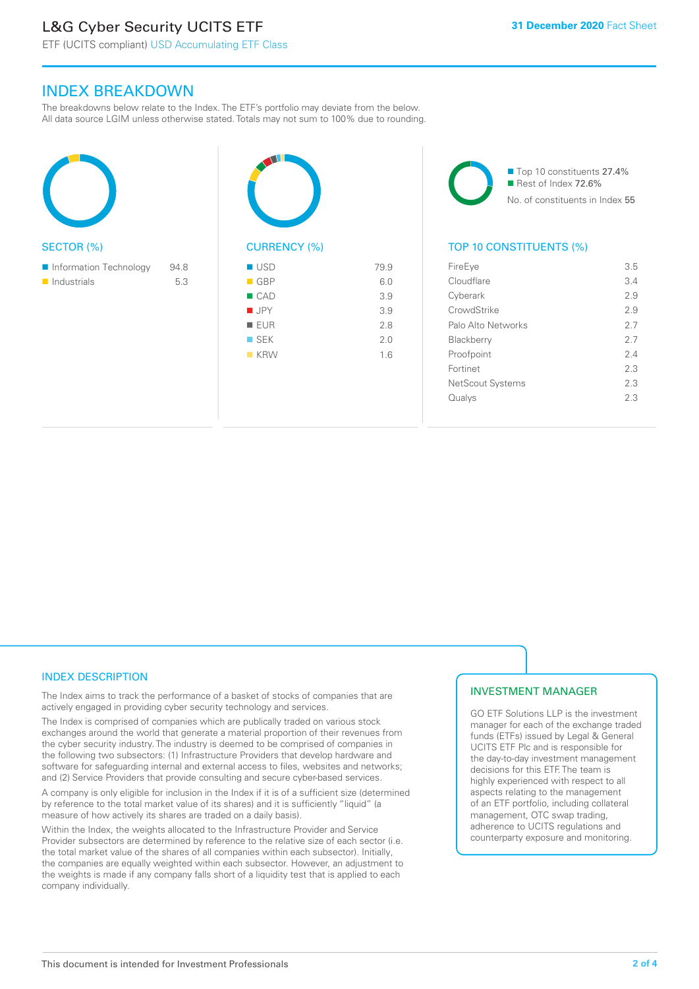# L&G Cyber Security UCITS ETF

ETF (UCITS compliant) USD Accumulating ETF Class

### INDEX BREAKDOWN

The breakdowns below relate to the Index. The ETF's portfolio may deviate from the below. All data source LGIM unless otherwise stated. Totals may not sum to 100% due to rounding.







#### TOP 10 CONSTITUENTS (%)

| FireEye                 | 3.5 |
|-------------------------|-----|
| Cloudflare              | 3.4 |
| Cyberark                | 2.9 |
| CrowdStrike             | 29  |
| Palo Alto Networks      | 27  |
| Blackberry              | 27  |
| Proofpoint              | 2.4 |
| Fortinet                | 23  |
| <b>NetScout Systems</b> | 23  |
| Qualys                  | 2.3 |
|                         |     |

#### INDEX DESCRIPTION

The Index aims to track the performance of a basket of stocks of companies that are actively engaged in providing cyber security technology and services.

The Index is comprised of companies which are publically traded on various stock exchanges around the world that generate a material proportion of their revenues from the cyber security industry. The industry is deemed to be comprised of companies in the following two subsectors: (1) Infrastructure Providers that develop hardware and software for safeguarding internal and external access to files, websites and networks; and (2) Service Providers that provide consulting and secure cyber-based services.

A company is only eligible for inclusion in the Index if it is of a sufficient size (determined by reference to the total market value of its shares) and it is sufficiently "liquid" (a measure of how actively its shares are traded on a daily basis).

Within the Index, the weights allocated to the Infrastructure Provider and Service Provider subsectors are determined by reference to the relative size of each sector (i.e. the total market value of the shares of all companies within each subsector). Initially, the companies are equally weighted within each subsector. However, an adjustment to the weights is made if any company falls short of a liquidity test that is applied to each company individually.

#### INVESTMENT MANAGER

GO ETF Solutions LLP is the investment manager for each of the exchange traded funds (ETFs) issued by Legal & General UCITS ETF Plc and is responsible for the day-to-day investment management decisions for this ETF. The team is highly experienced with respect to all aspects relating to the management of an ETF portfolio, including collateral management, OTC swap trading, adherence to UCITS regulations and counterparty exposure and monitoring.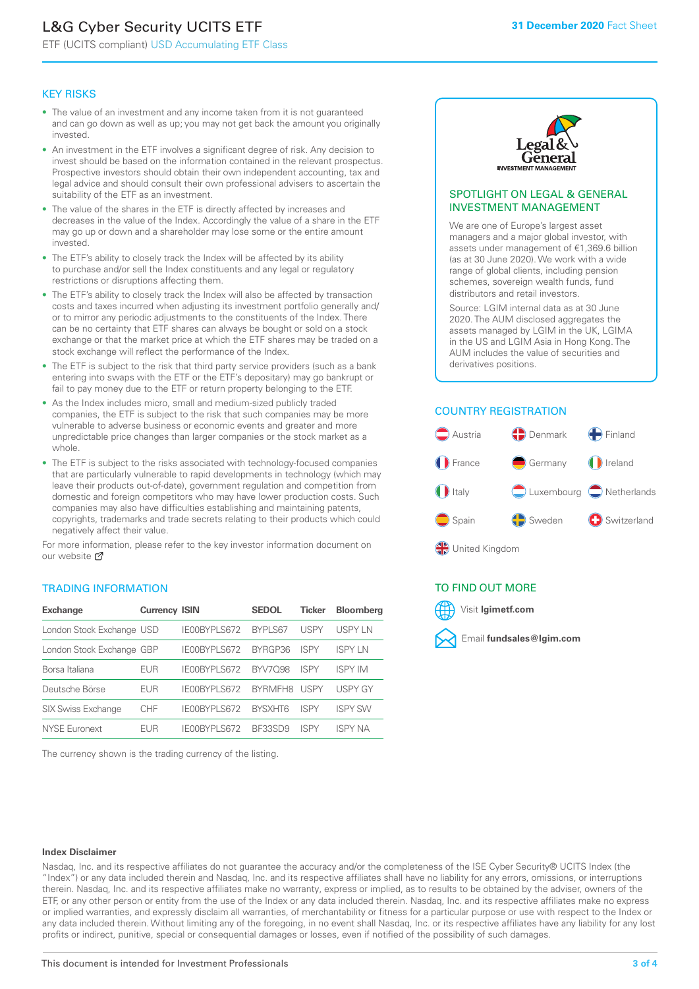# L&G Cyber Security UCITS ETF

ETF (UCITS compliant) USD Accumulating ETF Class

#### KEY RISKS

- The value of an investment and any income taken from it is not guaranteed and can go down as well as up; you may not get back the amount you originally invested.
- An investment in the ETF involves a significant degree of risk. Any decision to invest should be based on the information contained in the relevant prospectus. Prospective investors should obtain their own independent accounting, tax and legal advice and should consult their own professional advisers to ascertain the suitability of the ETF as an investment.
- The value of the shares in the ETF is directly affected by increases and decreases in the value of the Index. Accordingly the value of a share in the ETF may go up or down and a shareholder may lose some or the entire amount invested.
- The ETF's ability to closely track the Index will be affected by its ability to purchase and/or sell the Index constituents and any legal or regulatory restrictions or disruptions affecting them.
- The ETF's ability to closely track the Index will also be affected by transaction costs and taxes incurred when adjusting its investment portfolio generally and/ or to mirror any periodic adjustments to the constituents of the Index. There can be no certainty that ETF shares can always be bought or sold on a stock exchange or that the market price at which the ETF shares may be traded on a stock exchange will reflect the performance of the Index.
- The ETF is subject to the risk that third party service providers (such as a bank entering into swaps with the ETF or the ETF's depositary) may go bankrupt or fail to pay money due to the ETF or return property belonging to the ETF.
- As the Index includes micro, small and medium-sized publicly traded companies, the ETF is subject to the risk that such companies may be more vulnerable to adverse business or economic events and greater and more unpredictable price changes than larger companies or the stock market as a whole.
- The ETF is subject to the risks associated with technology-focused companies that are particularly vulnerable to rapid developments in technology (which may leave their products out-of-date), government regulation and competition from domestic and foreign competitors who may have lower production costs. Such companies may also have difficulties establishing and maintaining patents, copyrights, trademarks and trade secrets relating to their products which could negatively affect their value.

For more in[form](https://www.lgimetf.com/)ation, please refer to the key investor information document on our website Ø

#### TRADING INFORMATION

| <b>Exchange</b>           | <b>Currency ISIN</b> |                     | <b>SEDOL</b>   | <b>Ticker</b> | <b>Bloomberg</b> |
|---------------------------|----------------------|---------------------|----------------|---------------|------------------|
| London Stock Exchange USD |                      | IE00BYPLS672        | <b>BYPLS67</b> | <b>USPY</b>   | USPY IN          |
| London Stock Exchange GBP |                      | IE00BYPLS672        | BYRGP36        | ISPY          | <b>ISPY IN</b>   |
| Borsa Italiana            | EUR                  | IE00BYPLS672        | <b>BYV7098</b> | <b>ISPY</b>   | <b>ISPY IM</b>   |
| Deutsche Börse            | EUR                  | <b>IFOORYPLS672</b> | <b>RYRMFH8</b> | <b>USPY</b>   | <b>USPY GY</b>   |
| <b>SIX Swiss Exchange</b> | <b>CHF</b>           | IE00BYPLS672        | <b>RYSXHT6</b> | <b>ISPY</b>   | <b>ISPY SW</b>   |
| NYSE Euronext             | <b>FUR</b>           | IF00BYPLS672        | BF33SD9        | <b>ISPY</b>   | <b>ISPY NA</b>   |

The currency shown is the trading currency of the listing.



#### SPOTLIGHT ON LEGAL & GENERAL INVESTMENT MANAGEMENT

We are one of Europe's largest asset managers and a major global investor, with assets under management of €1,369.6 billion (as at 30 June 2020). We work with a wide range of global clients, including pension schemes, sovereign wealth funds, fund distributors and retail investors.

Source: LGIM internal data as at 30 June 2020. The AUM disclosed aggregates the assets managed by LGIM in the UK, LGIMA in the US and LGIM Asia in Hong Kong. The AUM includes the value of securities and derivatives positions.

#### COUNTRY REGISTRATION



#### TO FIND OUT MORE



#### **Index Disclaimer**

Nasdaq, Inc. and its respective affiliates do not guarantee the accuracy and/or the completeness of the ISE Cyber Security® UCITS Index (the "Index") or any data included therein and Nasdaq, Inc. and its respective affiliates shall have no liability for any errors, omissions, or interruptions therein. Nasdaq, Inc. and its respective affiliates make no warranty, express or implied, as to results to be obtained by the adviser, owners of the ETF, or any other person or entity from the use of the Index or any data included therein. Nasdaq, Inc. and its respective affiliates make no express or implied warranties, and expressly disclaim all warranties, of merchantability or fitness for a particular purpose or use with respect to the Index or any data included therein. Without limiting any of the foregoing, in no event shall Nasdaq, Inc. or its respective affiliates have any liability for any lost profits or indirect, punitive, special or consequential damages or losses, even if notified of the possibility of such damages.